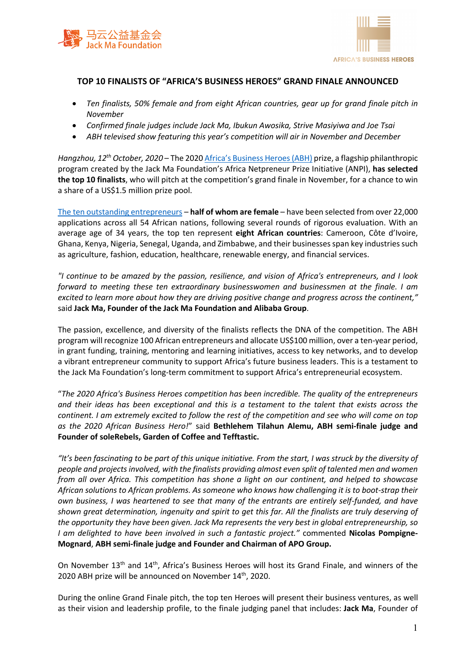



# **TOP 10 FINALISTS OF "AFRICA'S BUSINESS HEROES" GRAND FINALE ANNOUNCED**

- *Ten finalists, 50% female and from eight African countries, gear up for grand finale pitch in November*
- *Confirmed finale judges include Jack Ma, Ibukun Awosika, Strive Masiyiwa and Joe Tsai*
- *ABH televised show featuring this year's competition will air in November and December*

*Hangzhou, 12th October, 2020* – The 2020 Africa's Business Heroes (ABH) prize, a flagship philanthropic program created by the Jack Ma Foundation's Africa Netpreneur Prize Initiative (ANPI), **has selected the top 10 finalists**, who will pitch at the competition's grand finale in November, for a chance to win a share of a US\$1.5 million prize pool.

The ten outstanding entrepreneurs – **half of whom are female** – have been selected from over 22,000 applications across all 54 African nations, following several rounds of rigorous evaluation. With an average age of 34 years, the top ten represent **eight African countries**: Cameroon, Côte d'Ivoire, Ghana, Kenya, Nigeria, Senegal, Uganda, and Zimbabwe, and their businesses span key industries such as agriculture, fashion, education, healthcare, renewable energy, and financial services.

*"I continue to be amazed by the passion, resilience, and vision of Africa's entrepreneurs, and I look forward to meeting these ten extraordinary businesswomen and businessmen at the finale. I am excited to learn more about how they are driving positive change and progress across the continent,"*  said **Jack Ma, Founder of the Jack Ma Foundation and Alibaba Group**.

The passion, excellence, and diversity of the finalists reflects the DNA of the competition. The ABH program will recognize 100 African entrepreneurs and allocate US\$100 million, over a ten-year period, in grant funding, training, mentoring and learning initiatives, access to key networks, and to develop a vibrant entrepreneur community to support Africa's future business leaders. This is a testament to the Jack Ma Foundation's long-term commitment to support Africa's entrepreneurial ecosystem.

"*The 2020 Africa's Business Heroes competition has been incredible. The quality of the entrepreneurs and their ideas has been exceptional and this is a testament to the talent that exists across the continent. I am extremely excited to follow the rest of the competition and see who will come on top as the 2020 African Business Hero!*" said **Bethlehem Tilahun Alemu, ABH semi-finale judge and Founder of soleRebels, Garden of Coffee and Tefftastic.**

*"It's been fascinating to be part of this unique initiative. From the start, I was struck by the diversity of people and projects involved, with the finalists providing almost even split of talented men and women from all over Africa. This competition has shone a light on our continent, and helped to showcase African solutions to African problems. As someone who knows how challenging it is to boot-strap their own business, I was heartened to see that many of the entrants are entirely self-funded, and have shown great determination, ingenuity and spirit to get this far. All the finalists are truly deserving of the opportunity they have been given. Jack Ma represents the very best in global entrepreneurship, so I am delighted to have been involved in such a fantastic project."* commented **Nicolas Pompigne-Mognard**, **ABH semi-finale judge and Founder and Chairman of APO Group.** 

On November 13<sup>th</sup> and 14<sup>th</sup>, Africa's Business Heroes will host its Grand Finale, and winners of the 2020 ABH prize will be announced on November 14<sup>th</sup>, 2020.

During the online Grand Finale pitch, the top ten Heroes will present their business ventures, as well as their vision and leadership profile, to the finale judging panel that includes: **Jack Ma**, Founder of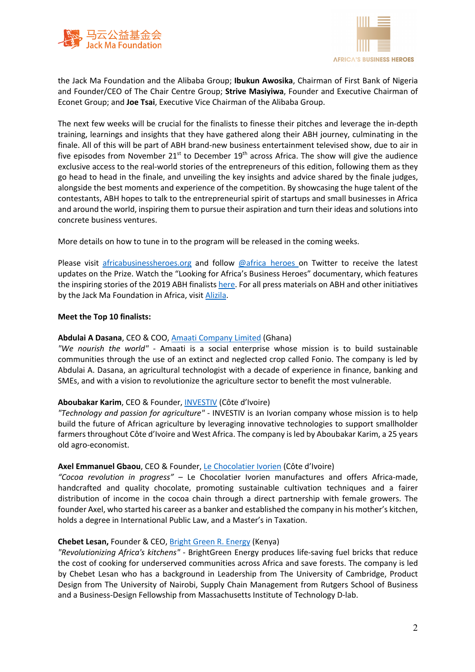



the Jack Ma Foundation and the Alibaba Group; **Ibukun Awosika**, Chairman of First Bank of Nigeria and Founder/CEO of The Chair Centre Group; **Strive Masiyiwa**, Founder and Executive Chairman of Econet Group; and **Joe Tsai**, Executive Vice Chairman of the Alibaba Group.

The next few weeks will be crucial for the finalists to finesse their pitches and leverage the in-depth training, learnings and insights that they have gathered along their ABH journey, culminating in the finale. All of this will be part of ABH brand-new business entertainment televised show, due to air in five episodes from November  $21^{st}$  to December  $19^{th}$  across Africa. The show will give the audience exclusive access to the real-world stories of the entrepreneurs of this edition, following them as they go head to head in the finale, and unveiling the key insights and advice shared by the finale judges, alongside the best moments and experience of the competition. By showcasing the huge talent of the contestants, ABH hopes to talk to the entrepreneurial spirit of startups and small businesses in Africa and around the world, inspiring them to pursue their aspiration and turn their ideas and solutions into concrete business ventures.

More details on how to tune in to the program will be released in the coming weeks.

Please visit africabusinessheroes.org and follow @africa heroes on Twitter to receive the latest updates on the Prize. Watch the "Looking for Africa's Business Heroes" documentary, which features the inspiring stories of the 2019 ABH finalists here. For all press materials on ABH and other initiatives by the Jack Ma Foundation in Africa, visit Alizila.

#### **Meet the Top 10 finalists:**

## **Abdulai A Dasana**, CEO & COO, Amaati Company Limited (Ghana)

*"We nourish the world"* - Amaati is a social enterprise whose mission is to build sustainable communities through the use of an extinct and neglected crop called Fonio. The company is led by Abdulai A. Dasana, an agricultural technologist with a decade of experience in finance, banking and SMEs, and with a vision to revolutionize the agriculture sector to benefit the most vulnerable.

## **Aboubakar Karim**, CEO & Founder, INVESTIV (Côte d'Ivoire)

*"Technology and passion for agriculture"* - INVESTIV is an Ivorian company whose mission is to help build the future of African agriculture by leveraging innovative technologies to support smallholder farmers throughout Côte d'Ivoire and West Africa. The company is led by Aboubakar Karim, a 25 years old agro-economist.

#### **Axel Emmanuel Gbaou**, CEO & Founder, Le Chocolatier Ivorien (Côte d'Ivoire)

*"Cocoa revolution in progress" –* Le Chocolatier Ivorien manufactures and offers Africa-made, handcrafted and quality chocolate, promoting sustainable cultivation techniques and a fairer distribution of income in the cocoa chain through a direct partnership with female growers. The founder Axel, who started his career as a banker and established the company in his mother's kitchen, holds a degree in International Public Law, and a Master's in Taxation.

#### **Chebet Lesan,** Founder & CEO, Bright Green R. Energy (Kenya)

*"Revolutionizing Africa's kitchens"* - BrightGreen Energy produces life-saving fuel bricks that reduce the cost of cooking for underserved communities across Africa and save forests. The company is led by Chebet Lesan who has a background in Leadership from The University of Cambridge, Product Design from The University of Nairobi, Supply Chain Management from Rutgers School of Business and a Business-Design Fellowship from Massachusetts Institute of Technology D-lab.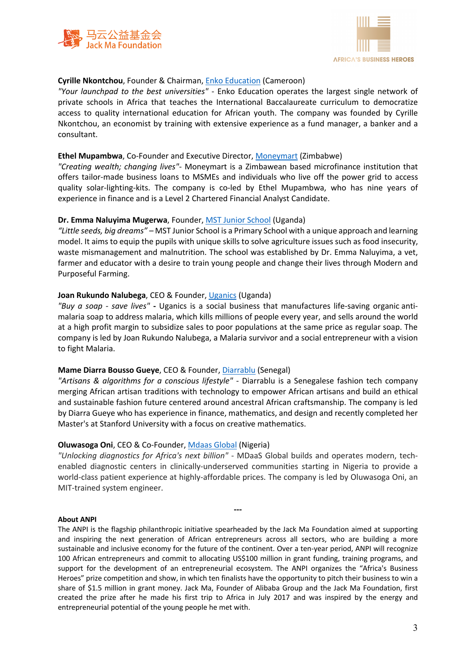



## **Cyrille Nkontchou**, Founder & Chairman, Enko Education (Cameroon)

*"Your launchpad to the best universities"* - Enko Education operates the largest single network of private schools in Africa that teaches the International Baccalaureate curriculum to democratize access to quality international education for African youth. The company was founded by Cyrille Nkontchou, an economist by training with extensive experience as a fund manager, a banker and a consultant.

## **Ethel Mupambwa**, Co-Founder and Executive Director, Moneymart (Zimbabwe)

*"Creating wealth; changing lives"*- Moneymart is a Zimbawean based microfinance institution that offers tailor-made business loans to MSMEs and individuals who live off the power grid to access quality solar-lighting-kits. The company is co-led by Ethel Mupambwa, who has nine years of experience in finance and is a Level 2 Chartered Financial Analyst Candidate.

#### **Dr. Emma Naluyima Mugerwa**, Founder, MST Junior School (Uganda)

*"Little seeds, big dreams" –* MST Junior School is a Primary School with a unique approach and learning model. It aims to equip the pupils with unique skills to solve agriculture issues such as food insecurity, waste mismanagement and malnutrition. The school was established by Dr. Emma Naluyima, a vet, farmer and educator with a desire to train young people and change their lives through Modern and Purposeful Farming.

#### **Joan Rukundo Nalubega**, CEO & Founder, Uganics (Uganda)

*"Buy a soap - save lives"* **-** Uganics is a social business that manufactures life-saving organic antimalaria soap to address malaria, which kills millions of people every year, and sells around the world at a high profit margin to subsidize sales to poor populations at the same price as regular soap. The company is led by Joan Rukundo Nalubega, a Malaria survivor and a social entrepreneur with a vision to fight Malaria.

## **Mame Diarra Bousso Gueye**, CEO & Founder, Diarrablu (Senegal)

*"Artisans & algorithms for a conscious lifestyle"* - Diarrablu is a Senegalese fashion tech company merging African artisan traditions with technology to empower African artisans and build an ethical and sustainable fashion future centered around ancestral African craftsmanship. The company is led by Diarra Gueye who has experience in finance, mathematics, and design and recently completed her Master's at Stanford University with a focus on creative mathematics.

## **Oluwasoga Oni**, CEO & Co-Founder, Mdaas Global (Nigeria)

*"Unlocking diagnostics for Africa's next billion"* - MDaaS Global builds and operates modern, techenabled diagnostic centers in clinically-underserved communities starting in Nigeria to provide a world-class patient experience at highly-affordable prices. The company is led by Oluwasoga Oni, an MIT-trained system engineer.

**---**

#### **About ANPI**

The ANPI is the flagship philanthropic initiative spearheaded by the Jack Ma Foundation aimed at supporting and inspiring the next generation of African entrepreneurs across all sectors, who are building a more sustainable and inclusive economy for the future of the continent. Over a ten-year period, ANPI will recognize 100 African entrepreneurs and commit to allocating US\$100 million in grant funding, training programs, and support for the development of an entrepreneurial ecosystem. The ANPI organizes the "Africa's Business Heroes" prize competition and show, in which ten finalists have the opportunity to pitch their business to win a share of \$1.5 million in grant money. Jack Ma, Founder of Alibaba Group and the Jack Ma Foundation, first created the prize after he made his first trip to Africa in July 2017 and was inspired by the energy and entrepreneurial potential of the young people he met with.